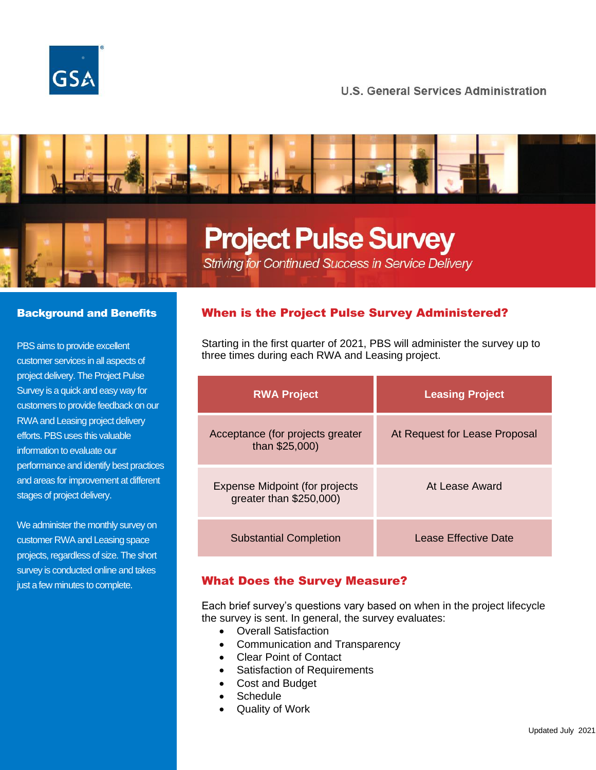

# **U.S. General Services Administration**





# **Project Pulse Survey**

Striving for Continued Success in Service Delivery

#### Background and Benefits

PBS aims to provide excellent customer services in all aspects of project delivery. The Project Pulse Survey is a quick and easy way for customers to provide feedback on our RWA and Leasing project delivery efforts. PBS uses this valuable information to evaluate our performance and identify best practices and areas for improvement at different stages of project delivery.

We administer the monthly survey on customer RWA and Leasing space projects, regardless of size. The short survey is conducted online and takes just a few minutes to complete.

### When is the Project Pulse Survey Administered?

Starting in the first quarter of 2021, PBS will administer the survey up to three times during each RWA and Leasing project.

| <b>RWA Project</b>                                               | <b>Leasing Project</b>        |
|------------------------------------------------------------------|-------------------------------|
| Acceptance (for projects greater<br>than \$25,000)               | At Request for Lease Proposal |
| <b>Expense Midpoint (for projects</b><br>greater than \$250,000) | At Lease Award                |
| <b>Substantial Completion</b>                                    | Lease Effective Date          |

#### What Does the Survey Measure?

Each brief survey's questions vary based on when in the project lifecycle the survey is sent. In general, the survey evaluates:

- Overall Satisfaction
- Communication and Transparency
- Clear Point of Contact
- Satisfaction of Requirements
- Cost and Budget
- Schedule
- Quality of Work